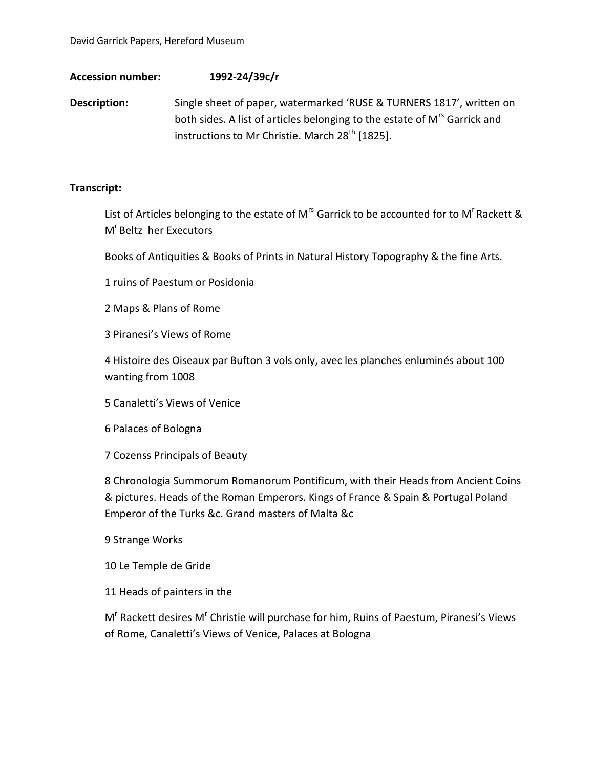## **Accession number: 1992-24/39c/r**

**Description:** Single sheet of paper, watermarked 'RUSE & TURNERS 1817', written on both sides. A list of articles belonging to the estate of M<sup>rs</sup> Garrick and instructions to Mr Christie. March 28<sup>th</sup> [1825].

## **Transcript:**

List of Articles belonging to the estate of M<sup>rs</sup> Garrick to be accounted for to M<sup>r</sup> Rackett & M<sup>r</sup> Beltz her Executors

Books of Antiquities & Books of Prints in Natural History Topography & the fine Arts.

1 ruins of Paestum or Posidonia

2 Maps & Plans of Rome

3 Piranesi's Views of Rome

4 Histoire des Oiseaux par Bufton 3 vols only, avec les planches enluminés about 100 wanting from 1008

5 Canaletti's Views of Venice

6 Palaces of Bologna

7 Cozenss Principals of Beauty

8 Chronologia Summorum Romanorum Pontificum, with their Heads from Ancient Coins & pictures. Heads of the Roman Emperors. Kings of France & Spain & Portugal Poland Emperor of the Turks &c. Grand masters of Malta &c

9 Strange Works

10 Le Temple de Gride

11 Heads of painters in the

M<sup>r</sup> Rackett desires M<sup>r</sup> Christie will purchase for him, Ruins of Paestum, Piranesi's Views of Rome, Canaletti's Views of Venice, Palaces at Bologna